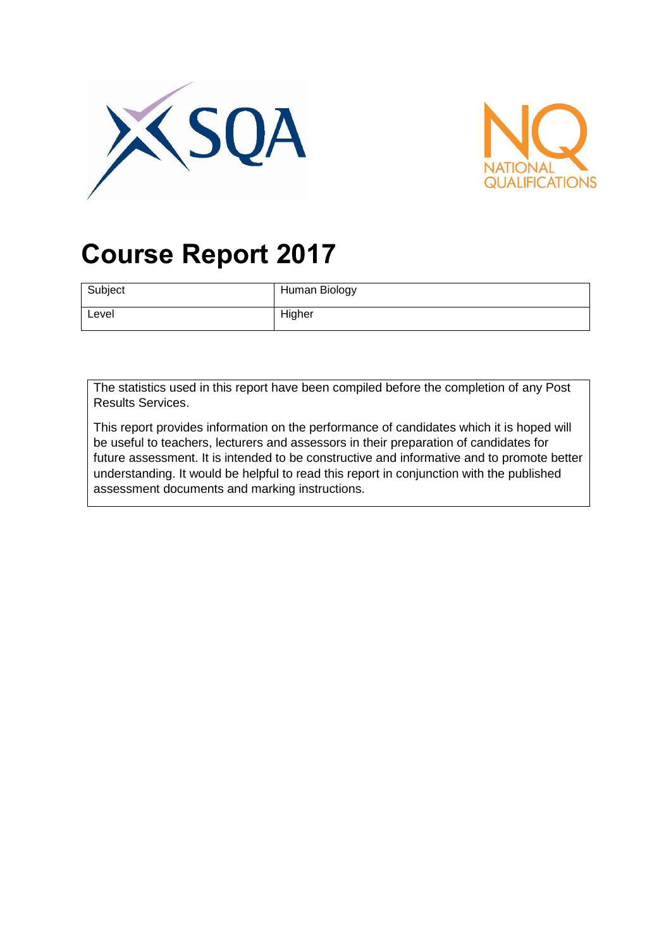



# **Course Report 2017**

| Subject | Human Biology |
|---------|---------------|
| Level   | Higher        |

The statistics used in this report have been compiled before the completion of any Post Results Services.

This report provides information on the performance of candidates which it is hoped will be useful to teachers, lecturers and assessors in their preparation of candidates for future assessment. It is intended to be constructive and informative and to promote better understanding. It would be helpful to read this report in conjunction with the published assessment documents and marking instructions.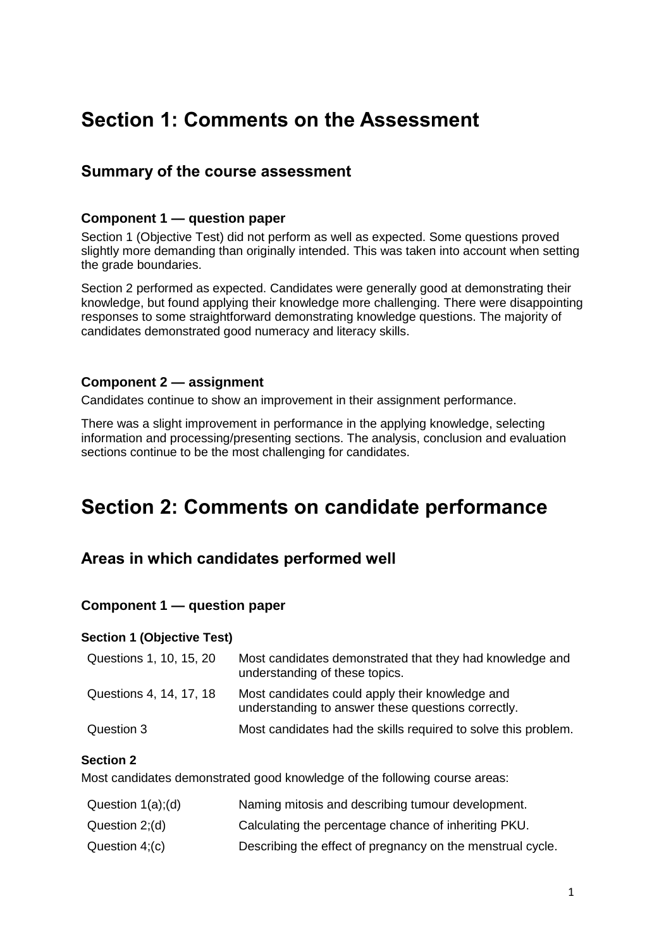# **Section 1: Comments on the Assessment**

### **Summary of the course assessment**

#### **Component 1 — question paper**

Section 1 (Objective Test) did not perform as well as expected. Some questions proved slightly more demanding than originally intended. This was taken into account when setting the grade boundaries.

Section 2 performed as expected. Candidates were generally good at demonstrating their knowledge, but found applying their knowledge more challenging. There were disappointing responses to some straightforward demonstrating knowledge questions. The majority of candidates demonstrated good numeracy and literacy skills.

#### **Component 2 — assignment**

Candidates continue to show an improvement in their assignment performance.

There was a slight improvement in performance in the applying knowledge, selecting information and processing/presenting sections. The analysis, conclusion and evaluation sections continue to be the most challenging for candidates.

# **Section 2: Comments on candidate performance**

## **Areas in which candidates performed well**

#### **Component 1 — question paper**

#### **Section 1 (Objective Test)**

| Questions 1, 10, 15, 20 | Most candidates demonstrated that they had knowledge and<br>understanding of these topics.            |
|-------------------------|-------------------------------------------------------------------------------------------------------|
| Questions 4, 14, 17, 18 | Most candidates could apply their knowledge and<br>understanding to answer these questions correctly. |
| Question 3              | Most candidates had the skills required to solve this problem.                                        |

#### **Section 2**

Most candidates demonstrated good knowledge of the following course areas:

| Question $1(a)$ ; (d) | Naming mitosis and describing tumour development.          |
|-----------------------|------------------------------------------------------------|
| Question 2;(d)        | Calculating the percentage chance of inheriting PKU.       |
| Question $4( c )$     | Describing the effect of pregnancy on the menstrual cycle. |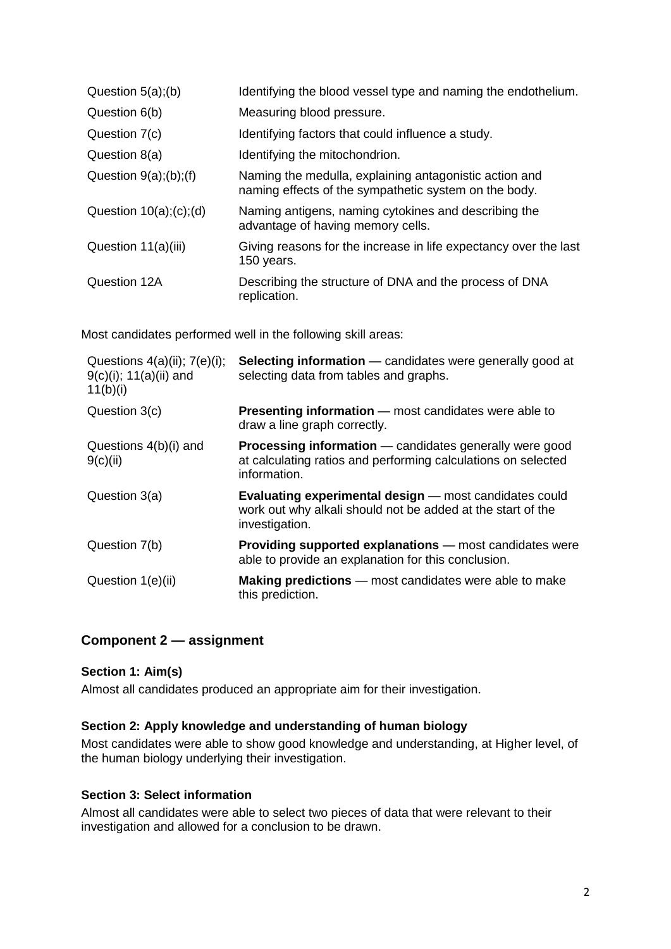| Question $5(a)$ ;(b)             | Identifying the blood vessel type and naming the endothelium.                                                   |
|----------------------------------|-----------------------------------------------------------------------------------------------------------------|
| Question 6(b)                    | Measuring blood pressure.                                                                                       |
| Question 7(c)                    | Identifying factors that could influence a study.                                                               |
| Question 8(a)                    | Identifying the mitochondrion.                                                                                  |
| Question $9(a)$ ; $(b)$ ; $(f)$  | Naming the medulla, explaining antagonistic action and<br>naming effects of the sympathetic system on the body. |
| Question $10(a)$ ; $(c)$ ; $(d)$ | Naming antigens, naming cytokines and describing the<br>advantage of having memory cells.                       |
| Question 11(a)(iii)              | Giving reasons for the increase in life expectancy over the last<br>150 years.                                  |
| Question 12A                     | Describing the structure of DNA and the process of DNA<br>replication.                                          |

Most candidates performed well in the following skill areas:

| Questions $4(a)(ii)$ ; $7(e)(i)$ ;<br>$9(c)(i)$ ; 11(a)(ii) and<br>11(b)(i) | <b>Selecting information</b> — candidates were generally good at<br>selecting data from tables and graphs.                                      |
|-----------------------------------------------------------------------------|-------------------------------------------------------------------------------------------------------------------------------------------------|
| Question 3(c)                                                               | <b>Presenting information</b> — most candidates were able to<br>draw a line graph correctly.                                                    |
| Questions $4(b)(i)$ and<br>9(c)(ii)                                         | <b>Processing information</b> — candidates generally were good<br>at calculating ratios and performing calculations on selected<br>information. |
| Question 3(a)                                                               | <b>Evaluating experimental design</b> – most candidates could<br>work out why alkali should not be added at the start of the<br>investigation.  |
| Question 7(b)                                                               | <b>Providing supported explanations</b> – most candidates were<br>able to provide an explanation for this conclusion.                           |
| Question 1(e)(ii)                                                           | <b>Making predictions</b> — most candidates were able to make<br>this prediction.                                                               |

### **Component 2 — assignment**

#### **Section 1: Aim(s)**

Almost all candidates produced an appropriate aim for their investigation.

#### **Section 2: Apply knowledge and understanding of human biology**

Most candidates were able to show good knowledge and understanding, at Higher level, of the human biology underlying their investigation.

#### **Section 3: Select information**

Almost all candidates were able to select two pieces of data that were relevant to their investigation and allowed for a conclusion to be drawn.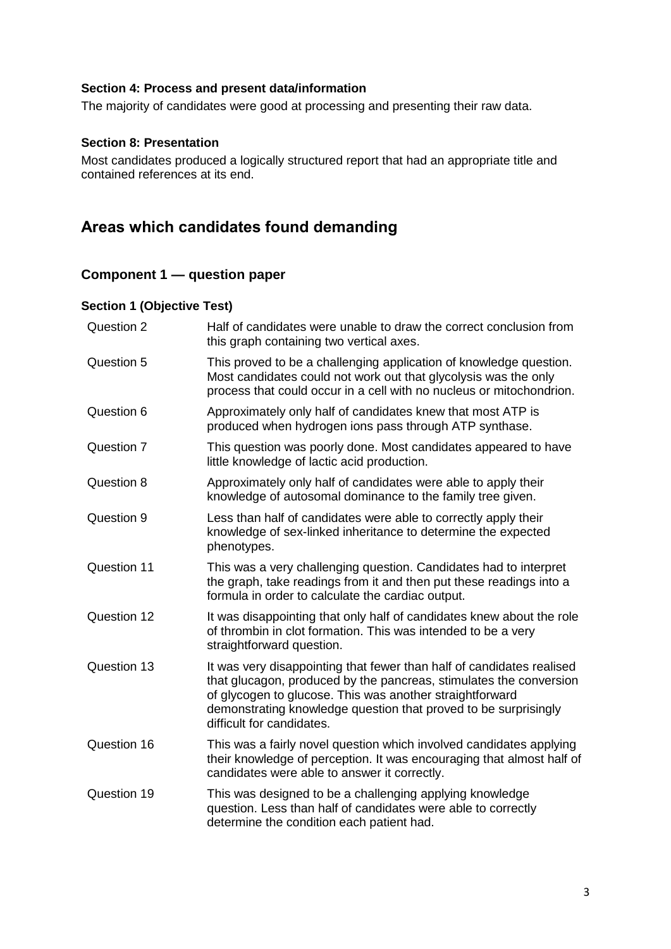#### **Section 4: Process and present data/information**

The majority of candidates were good at processing and presenting their raw data.

#### **Section 8: Presentation**

Most candidates produced a logically structured report that had an appropriate title and contained references at its end.

## **Areas which candidates found demanding**

#### **Component 1 — question paper**

#### **Section 1 (Objective Test)**

| Question 2  | Half of candidates were unable to draw the correct conclusion from<br>this graph containing two vertical axes.                                                                                                                                                                                          |
|-------------|---------------------------------------------------------------------------------------------------------------------------------------------------------------------------------------------------------------------------------------------------------------------------------------------------------|
| Question 5  | This proved to be a challenging application of knowledge question.<br>Most candidates could not work out that glycolysis was the only<br>process that could occur in a cell with no nucleus or mitochondrion.                                                                                           |
| Question 6  | Approximately only half of candidates knew that most ATP is<br>produced when hydrogen ions pass through ATP synthase.                                                                                                                                                                                   |
| Question 7  | This question was poorly done. Most candidates appeared to have<br>little knowledge of lactic acid production.                                                                                                                                                                                          |
| Question 8  | Approximately only half of candidates were able to apply their<br>knowledge of autosomal dominance to the family tree given.                                                                                                                                                                            |
| Question 9  | Less than half of candidates were able to correctly apply their<br>knowledge of sex-linked inheritance to determine the expected<br>phenotypes.                                                                                                                                                         |
| Question 11 | This was a very challenging question. Candidates had to interpret<br>the graph, take readings from it and then put these readings into a<br>formula in order to calculate the cardiac output.                                                                                                           |
| Question 12 | It was disappointing that only half of candidates knew about the role<br>of thrombin in clot formation. This was intended to be a very<br>straightforward question.                                                                                                                                     |
| Question 13 | It was very disappointing that fewer than half of candidates realised<br>that glucagon, produced by the pancreas, stimulates the conversion<br>of glycogen to glucose. This was another straightforward<br>demonstrating knowledge question that proved to be surprisingly<br>difficult for candidates. |
| Question 16 | This was a fairly novel question which involved candidates applying<br>their knowledge of perception. It was encouraging that almost half of<br>candidates were able to answer it correctly.                                                                                                            |
| Question 19 | This was designed to be a challenging applying knowledge<br>question. Less than half of candidates were able to correctly<br>determine the condition each patient had.                                                                                                                                  |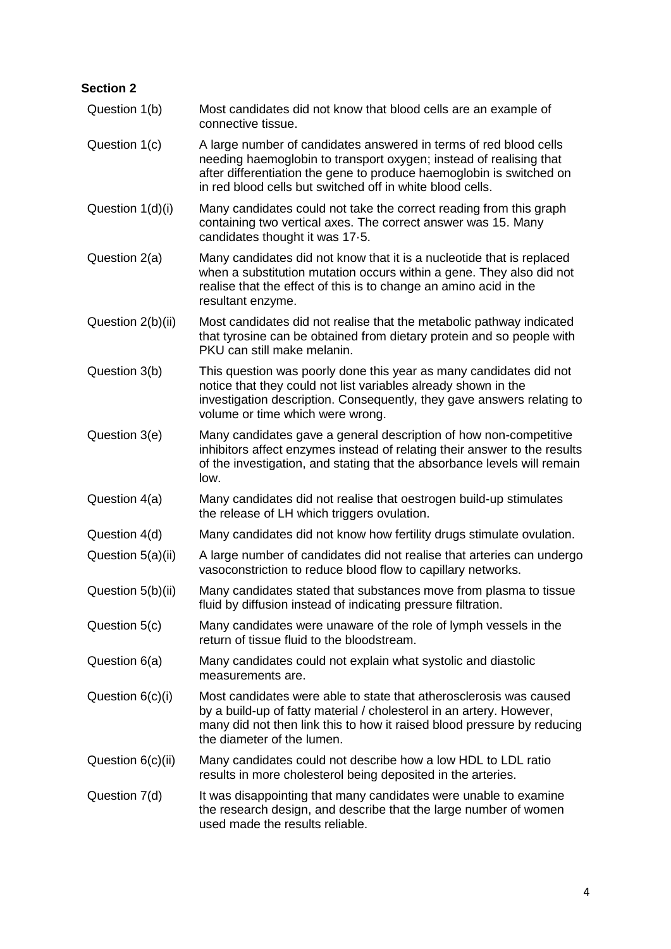| <b>Section 2</b>  |                                                                                                                                                                                                                                                                              |
|-------------------|------------------------------------------------------------------------------------------------------------------------------------------------------------------------------------------------------------------------------------------------------------------------------|
| Question 1(b)     | Most candidates did not know that blood cells are an example of<br>connective tissue.                                                                                                                                                                                        |
| Question 1(c)     | A large number of candidates answered in terms of red blood cells<br>needing haemoglobin to transport oxygen; instead of realising that<br>after differentiation the gene to produce haemoglobin is switched on<br>in red blood cells but switched off in white blood cells. |
| Question 1(d)(i)  | Many candidates could not take the correct reading from this graph<br>containing two vertical axes. The correct answer was 15. Many<br>candidates thought it was 17.5.                                                                                                       |
| Question 2(a)     | Many candidates did not know that it is a nucleotide that is replaced<br>when a substitution mutation occurs within a gene. They also did not<br>realise that the effect of this is to change an amino acid in the<br>resultant enzyme.                                      |
| Question 2(b)(ii) | Most candidates did not realise that the metabolic pathway indicated<br>that tyrosine can be obtained from dietary protein and so people with<br>PKU can still make melanin.                                                                                                 |
| Question 3(b)     | This question was poorly done this year as many candidates did not<br>notice that they could not list variables already shown in the<br>investigation description. Consequently, they gave answers relating to<br>volume or time which were wrong.                           |
| Question 3(e)     | Many candidates gave a general description of how non-competitive<br>inhibitors affect enzymes instead of relating their answer to the results<br>of the investigation, and stating that the absorbance levels will remain<br>low.                                           |
| Question 4(a)     | Many candidates did not realise that oestrogen build-up stimulates<br>the release of LH which triggers ovulation.                                                                                                                                                            |
| Question 4(d)     | Many candidates did not know how fertility drugs stimulate ovulation.                                                                                                                                                                                                        |
| Question 5(a)(ii) | A large number of candidates did not realise that arteries can undergo<br>vasoconstriction to reduce blood flow to capillary networks.                                                                                                                                       |
| Question 5(b)(ii) | Many candidates stated that substances move from plasma to tissue<br>fluid by diffusion instead of indicating pressure filtration.                                                                                                                                           |
| Question 5(c)     | Many candidates were unaware of the role of lymph vessels in the<br>return of tissue fluid to the bloodstream.                                                                                                                                                               |
| Question 6(a)     | Many candidates could not explain what systolic and diastolic<br>measurements are.                                                                                                                                                                                           |
| Question 6(c)(i)  | Most candidates were able to state that atherosclerosis was caused<br>by a build-up of fatty material / cholesterol in an artery. However,<br>many did not then link this to how it raised blood pressure by reducing<br>the diameter of the lumen.                          |
| Question 6(c)(ii) | Many candidates could not describe how a low HDL to LDL ratio<br>results in more cholesterol being deposited in the arteries.                                                                                                                                                |
| Question 7(d)     | It was disappointing that many candidates were unable to examine<br>the research design, and describe that the large number of women<br>used made the results reliable.                                                                                                      |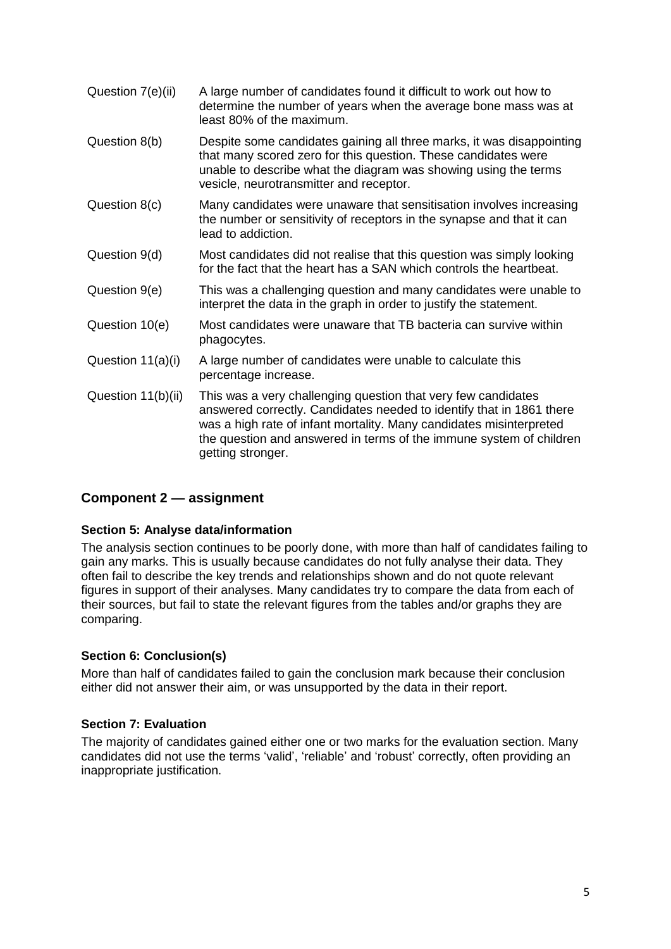| Question 7(e)(ii)  | A large number of candidates found it difficult to work out how to<br>determine the number of years when the average bone mass was at<br>least 80% of the maximum.                                                                                                                                       |
|--------------------|----------------------------------------------------------------------------------------------------------------------------------------------------------------------------------------------------------------------------------------------------------------------------------------------------------|
| Question 8(b)      | Despite some candidates gaining all three marks, it was disappointing<br>that many scored zero for this question. These candidates were<br>unable to describe what the diagram was showing using the terms<br>vesicle, neurotransmitter and receptor.                                                    |
| Question 8(c)      | Many candidates were unaware that sensitisation involves increasing<br>the number or sensitivity of receptors in the synapse and that it can<br>lead to addiction.                                                                                                                                       |
| Question 9(d)      | Most candidates did not realise that this question was simply looking<br>for the fact that the heart has a SAN which controls the heartbeat.                                                                                                                                                             |
| Question 9(e)      | This was a challenging question and many candidates were unable to<br>interpret the data in the graph in order to justify the statement.                                                                                                                                                                 |
| Question 10(e)     | Most candidates were unaware that TB bacteria can survive within<br>phagocytes.                                                                                                                                                                                                                          |
| Question 11(a)(i)  | A large number of candidates were unable to calculate this<br>percentage increase.                                                                                                                                                                                                                       |
| Question 11(b)(ii) | This was a very challenging question that very few candidates<br>answered correctly. Candidates needed to identify that in 1861 there<br>was a high rate of infant mortality. Many candidates misinterpreted<br>the question and answered in terms of the immune system of children<br>getting stronger. |

#### **Component 2 — assignment**

#### **Section 5: Analyse data/information**

The analysis section continues to be poorly done, with more than half of candidates failing to gain any marks. This is usually because candidates do not fully analyse their data. They often fail to describe the key trends and relationships shown and do not quote relevant figures in support of their analyses. Many candidates try to compare the data from each of their sources, but fail to state the relevant figures from the tables and/or graphs they are comparing.

#### **Section 6: Conclusion(s)**

More than half of candidates failed to gain the conclusion mark because their conclusion either did not answer their aim, or was unsupported by the data in their report.

#### **Section 7: Evaluation**

The majority of candidates gained either one or two marks for the evaluation section. Many candidates did not use the terms 'valid', 'reliable' and 'robust' correctly, often providing an inappropriate justification.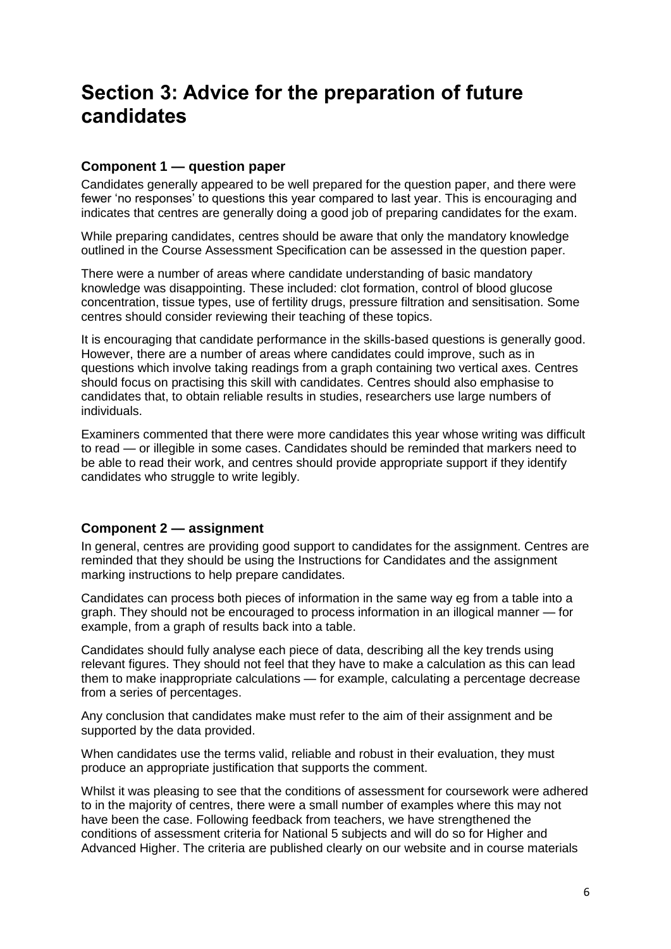# **Section 3: Advice for the preparation of future candidates**

#### **Component 1 — question paper**

Candidates generally appeared to be well prepared for the question paper, and there were fewer 'no responses' to questions this year compared to last year. This is encouraging and indicates that centres are generally doing a good job of preparing candidates for the exam.

While preparing candidates, centres should be aware that only the mandatory knowledge outlined in the Course Assessment Specification can be assessed in the question paper.

There were a number of areas where candidate understanding of basic mandatory knowledge was disappointing. These included: clot formation, control of blood glucose concentration, tissue types, use of fertility drugs, pressure filtration and sensitisation. Some centres should consider reviewing their teaching of these topics.

It is encouraging that candidate performance in the skills-based questions is generally good. However, there are a number of areas where candidates could improve, such as in questions which involve taking readings from a graph containing two vertical axes. Centres should focus on practising this skill with candidates. Centres should also emphasise to candidates that, to obtain reliable results in studies, researchers use large numbers of individuals.

Examiners commented that there were more candidates this year whose writing was difficult to read — or illegible in some cases. Candidates should be reminded that markers need to be able to read their work, and centres should provide appropriate support if they identify candidates who struggle to write legibly.

#### **Component 2 — assignment**

In general, centres are providing good support to candidates for the assignment. Centres are reminded that they should be using the Instructions for Candidates and the assignment marking instructions to help prepare candidates.

Candidates can process both pieces of information in the same way eg from a table into a graph. They should not be encouraged to process information in an illogical manner — for example, from a graph of results back into a table.

Candidates should fully analyse each piece of data, describing all the key trends using relevant figures. They should not feel that they have to make a calculation as this can lead them to make inappropriate calculations — for example, calculating a percentage decrease from a series of percentages.

Any conclusion that candidates make must refer to the aim of their assignment and be supported by the data provided.

When candidates use the terms valid, reliable and robust in their evaluation, they must produce an appropriate justification that supports the comment.

Whilst it was pleasing to see that the conditions of assessment for coursework were adhered to in the majority of centres, there were a small number of examples where this may not have been the case. Following feedback from teachers, we have strengthened the conditions of assessment criteria for National 5 subjects and will do so for Higher and Advanced Higher. The criteria are published clearly on our website and in course materials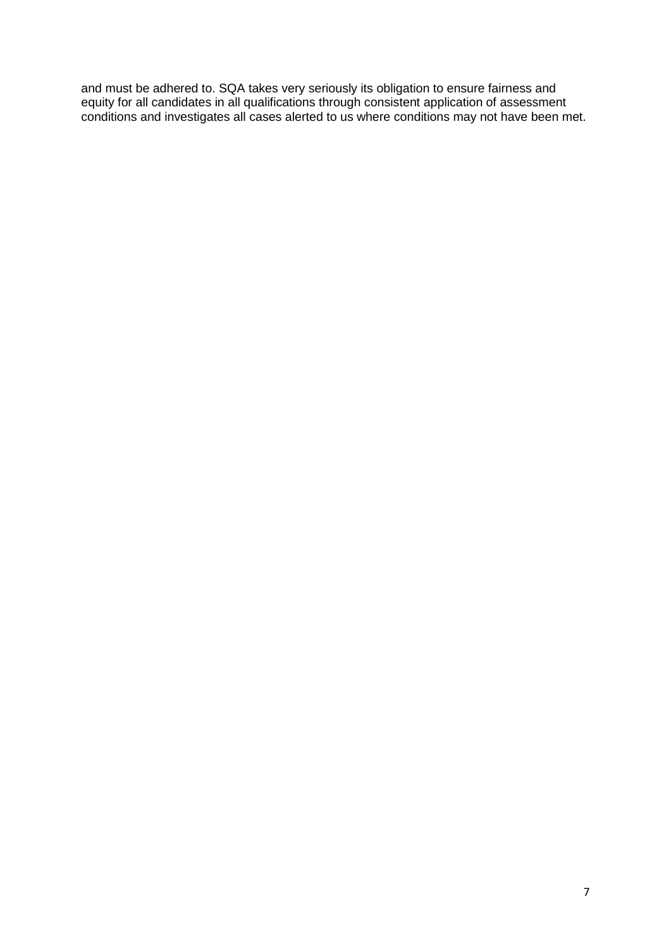and must be adhered to. SQA takes very seriously its obligation to ensure fairness and equity for all candidates in all qualifications through consistent application of assessment conditions and investigates all cases alerted to us where conditions may not have been met.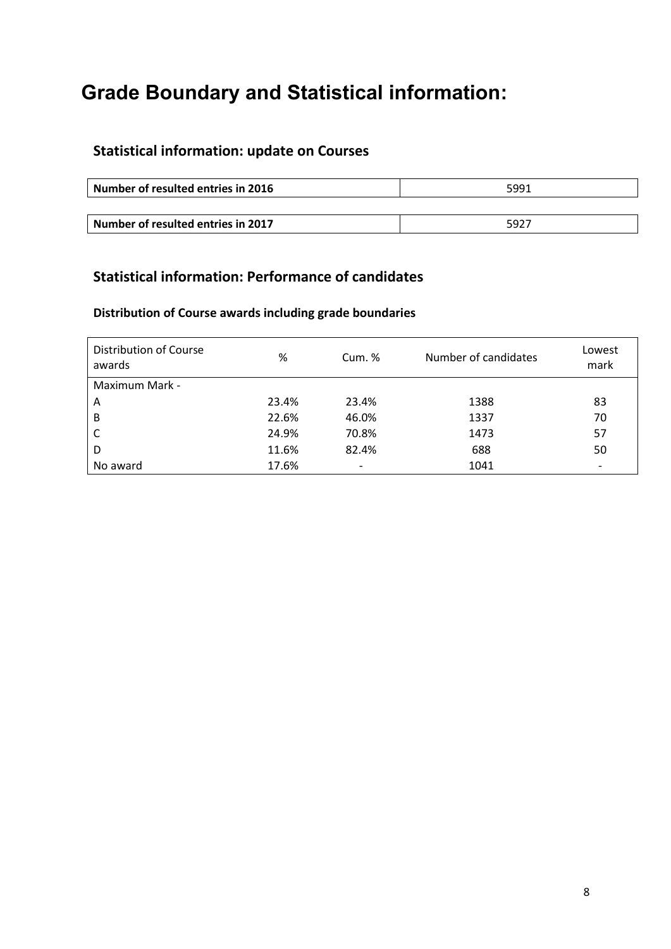# **Grade Boundary and Statistical information:**

# **Statistical information: update on Courses**

| Number of resulted entries in 2016 | 5991 |
|------------------------------------|------|
|                                    |      |
| Number of resulted entries in 2017 | 5927 |

### **Statistical information: Performance of candidates**

#### **Distribution of Course awards including grade boundaries**

| <b>Distribution of Course</b><br>awards | %     | Cum. $%$                 | Number of candidates | Lowest<br>mark           |
|-----------------------------------------|-------|--------------------------|----------------------|--------------------------|
| Maximum Mark -                          |       |                          |                      |                          |
| A                                       | 23.4% | 23.4%                    | 1388                 | 83                       |
| B                                       | 22.6% | 46.0%                    | 1337                 | 70                       |
| C                                       | 24.9% | 70.8%                    | 1473                 | 57                       |
| D                                       | 11.6% | 82.4%                    | 688                  | 50                       |
| No award                                | 17.6% | $\overline{\phantom{a}}$ | 1041                 | $\overline{\phantom{a}}$ |